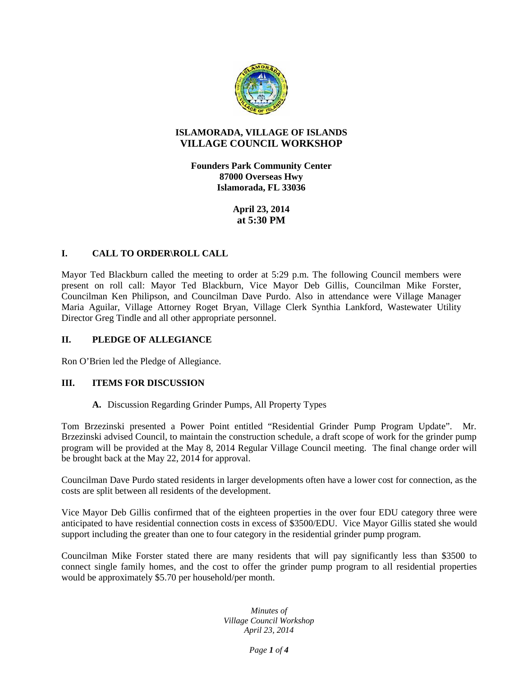

## **ISLAMORADA, VILLAGE OF ISLANDS VILLAGE COUNCIL WORKSHOP**

**Founders Park Community Center 87000 Overseas Hwy Islamorada, FL 33036**

> **April 23, 2014 at 5:30 PM**

# **I. CALL TO ORDER\ROLL CALL**

Mayor Ted Blackburn called the meeting to order at 5:29 p.m. The following Council members were present on roll call: Mayor Ted Blackburn, Vice Mayor Deb Gillis, Councilman Mike Forster, Councilman Ken Philipson, and Councilman Dave Purdo. Also in attendance were Village Manager Maria Aguilar, Village Attorney Roget Bryan, Village Clerk Synthia Lankford, Wastewater Utility Director Greg Tindle and all other appropriate personnel.

## **II. PLEDGE OF ALLEGIANCE**

Ron O'Brien led the Pledge of Allegiance.

# **III. ITEMS FOR DISCUSSION**

### **A.** Discussion Regarding Grinder Pumps, All Property Types

Tom Brzezinski presented a Power Point entitled "Residential Grinder Pump Program Update". Mr. Brzezinski advised Council, to maintain the construction schedule, a draft scope of work for the grinder pump program will be provided at the May 8, 2014 Regular Village Council meeting. The final change order will be brought back at the May 22, 2014 for approval.

Councilman Dave Purdo stated residents in larger developments often have a lower cost for connection, as the costs are split between all residents of the development.

Vice Mayor Deb Gillis confirmed that of the eighteen properties in the over four EDU category three were anticipated to have residential connection costs in excess of \$3500/EDU. Vice Mayor Gillis stated she would support including the greater than one to four category in the residential grinder pump program.

Councilman Mike Forster stated there are many residents that will pay significantly less than \$3500 to connect single family homes, and the cost to offer the grinder pump program to all residential properties would be approximately \$5.70 per household/per month.

> *Minutes of Village Council Workshop April 23, 2014*

> > *Page 1 of 4*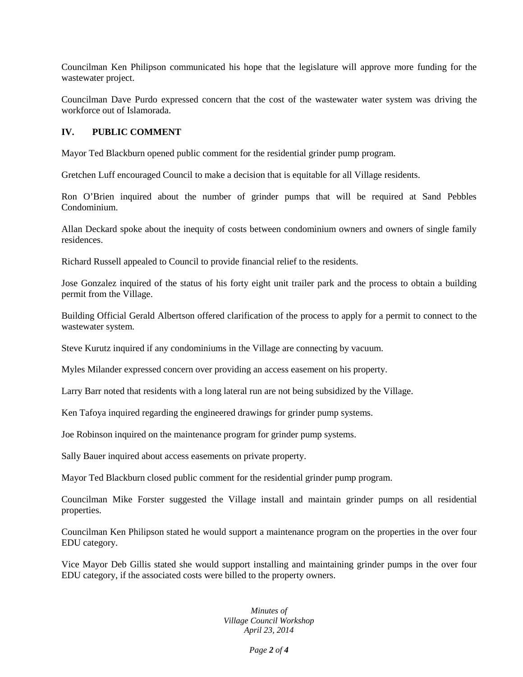Councilman Ken Philipson communicated his hope that the legislature will approve more funding for the wastewater project.

Councilman Dave Purdo expressed concern that the cost of the wastewater water system was driving the workforce out of Islamorada.

# **IV. PUBLIC COMMENT**

Mayor Ted Blackburn opened public comment for the residential grinder pump program.

Gretchen Luff encouraged Council to make a decision that is equitable for all Village residents.

Ron O'Brien inquired about the number of grinder pumps that will be required at Sand Pebbles Condominium.

Allan Deckard spoke about the inequity of costs between condominium owners and owners of single family residences.

Richard Russell appealed to Council to provide financial relief to the residents.

Jose Gonzalez inquired of the status of his forty eight unit trailer park and the process to obtain a building permit from the Village.

Building Official Gerald Albertson offered clarification of the process to apply for a permit to connect to the wastewater system.

Steve Kurutz inquired if any condominiums in the Village are connecting by vacuum.

Myles Milander expressed concern over providing an access easement on his property.

Larry Barr noted that residents with a long lateral run are not being subsidized by the Village.

Ken Tafoya inquired regarding the engineered drawings for grinder pump systems.

Joe Robinson inquired on the maintenance program for grinder pump systems.

Sally Bauer inquired about access easements on private property.

Mayor Ted Blackburn closed public comment for the residential grinder pump program.

Councilman Mike Forster suggested the Village install and maintain grinder pumps on all residential properties.

Councilman Ken Philipson stated he would support a maintenance program on the properties in the over four EDU category.

Vice Mayor Deb Gillis stated she would support installing and maintaining grinder pumps in the over four EDU category, if the associated costs were billed to the property owners.

> *Minutes of Village Council Workshop April 23, 2014*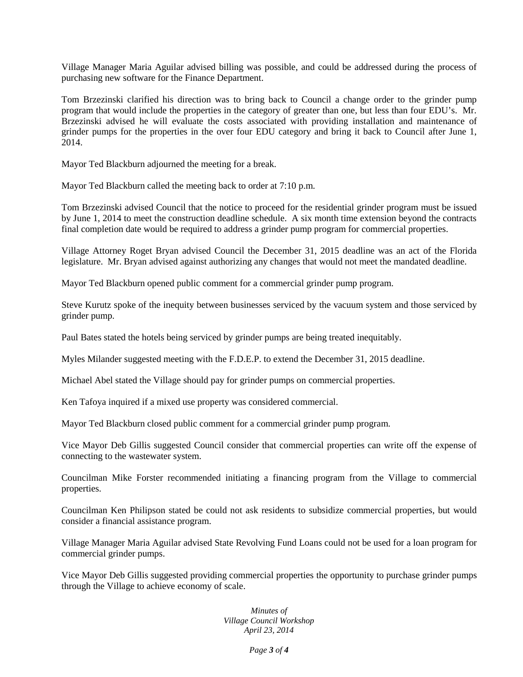Village Manager Maria Aguilar advised billing was possible, and could be addressed during the process of purchasing new software for the Finance Department.

Tom Brzezinski clarified his direction was to bring back to Council a change order to the grinder pump program that would include the properties in the category of greater than one, but less than four EDU's. Mr. Brzezinski advised he will evaluate the costs associated with providing installation and maintenance of grinder pumps for the properties in the over four EDU category and bring it back to Council after June 1, 2014.

Mayor Ted Blackburn adjourned the meeting for a break.

Mayor Ted Blackburn called the meeting back to order at 7:10 p.m.

Tom Brzezinski advised Council that the notice to proceed for the residential grinder program must be issued by June 1, 2014 to meet the construction deadline schedule. A six month time extension beyond the contracts final completion date would be required to address a grinder pump program for commercial properties.

Village Attorney Roget Bryan advised Council the December 31, 2015 deadline was an act of the Florida legislature. Mr. Bryan advised against authorizing any changes that would not meet the mandated deadline.

Mayor Ted Blackburn opened public comment for a commercial grinder pump program.

Steve Kurutz spoke of the inequity between businesses serviced by the vacuum system and those serviced by grinder pump.

Paul Bates stated the hotels being serviced by grinder pumps are being treated inequitably.

Myles Milander suggested meeting with the F.D.E.P. to extend the December 31, 2015 deadline.

Michael Abel stated the Village should pay for grinder pumps on commercial properties.

Ken Tafoya inquired if a mixed use property was considered commercial.

Mayor Ted Blackburn closed public comment for a commercial grinder pump program.

Vice Mayor Deb Gillis suggested Council consider that commercial properties can write off the expense of connecting to the wastewater system.

Councilman Mike Forster recommended initiating a financing program from the Village to commercial properties.

Councilman Ken Philipson stated be could not ask residents to subsidize commercial properties, but would consider a financial assistance program.

Village Manager Maria Aguilar advised State Revolving Fund Loans could not be used for a loan program for commercial grinder pumps.

Vice Mayor Deb Gillis suggested providing commercial properties the opportunity to purchase grinder pumps through the Village to achieve economy of scale.

> *Minutes of Village Council Workshop April 23, 2014*

> > *Page 3 of 4*